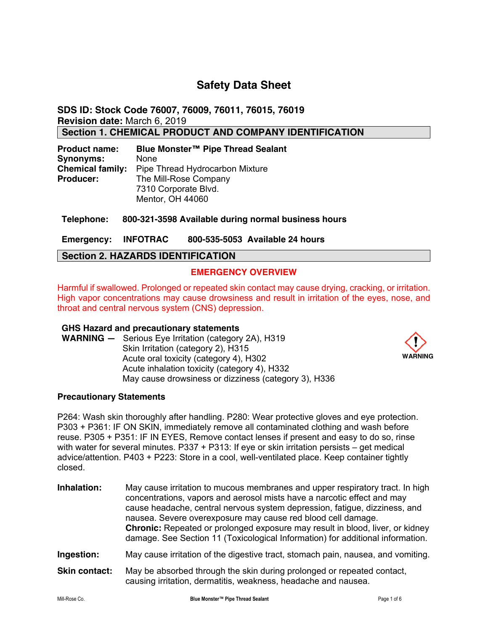# **Safety Data Sheet**

**SDS ID: Stock Code 76007, 76009, 76011, 76015, 76019 Revision date:** March 6, 2019

**Section 1. CHEMICAL PRODUCT AND COMPANY IDENTIFICATION** 

| <b>Product name:</b>    | Blue Monster™ Pipe Thread Sealant |
|-------------------------|-----------------------------------|
| <b>Synonyms:</b>        | <b>None</b>                       |
| <b>Chemical family:</b> | Pipe Thread Hydrocarbon Mixture   |
| <b>Producer:</b>        | The Mill-Rose Company             |
|                         | 7310 Corporate Blvd.              |
|                         | Mentor, OH 44060                  |

**Telephone: 800-321-3598 Available during normal business hours** 

**Emergency: INFOTRAC 800-535-5053 Available 24 hours** 

## **Section 2. HAZARDS IDENTIFICATION**

## **EMERGENCY OVERVIEW**

Harmful if swallowed. Prolonged or repeated skin contact may cause drying, cracking, or irritation. High vapor concentrations may cause drowsiness and result in irritation of the eyes, nose, and throat and central nervous system (CNS) depression.

### **GHS Hazard and precautionary statements**

**WARNING —** Serious Eye Irritation (category 2A), H319 Skin Irritation (category 2), H315 Acute oral toxicity (category 4), H302 Acute inhalation toxicity (category 4), H332 May cause drowsiness or dizziness (category 3), H336



### **Precautionary Statements**

P264: Wash skin thoroughly after handling. P280: Wear protective gloves and eye protection. P303 + P361: IF ON SKIN, immediately remove all contaminated clothing and wash before reuse. P305 + P351: IF IN EYES, Remove contact lenses if present and easy to do so, rinse with water for several minutes. P337 + P313: If eye or skin irritation persists – get medical advice/attention. P403 + P223: Store in a cool, well-ventilated place. Keep container tightly closed.

**Inhalation:** May cause irritation to mucous membranes and upper respiratory tract. In high concentrations, vapors and aerosol mists have a narcotic effect and may cause headache, central nervous system depression, fatigue, dizziness, and nausea. Severe overexposure may cause red blood cell damage. **Chronic:** Repeated or prolonged exposure may result in blood, liver, or kidney damage. See Section 11 (Toxicological Information) for additional information.

**Ingestion:** May cause irritation of the digestive tract, stomach pain, nausea, and vomiting.

**Skin contact:** May be absorbed through the skin during prolonged or repeated contact, causing irritation, dermatitis, weakness, headache and nausea.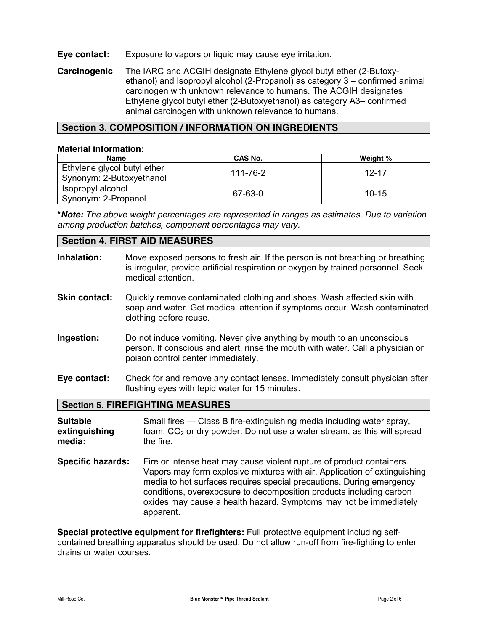## **Eye contact:** Exposure to vapors or liquid may cause eye irritation.

**Carcinogenic** The IARC and ACGIH designate Ethylene glycol butyl ether (2-Butoxyethanol) and Isopropyl alcohol (2-Propanol) as category 3 – confirmed animal carcinogen with unknown relevance to humans. The ACGIH designates Ethylene glycol butyl ether (2-Butoxyethanol) as category A3– confirmed animal carcinogen with unknown relevance to humans.

## **Section 3. COMPOSITION / INFORMATION ON INGREDIENTS**

### **Material information:**

| <b>Name</b>                                             | CAS No.  | Weight %  |
|---------------------------------------------------------|----------|-----------|
| Ethylene glycol butyl ether<br>Synonym: 2-Butoxyethanol | 111-76-2 | $12 - 17$ |
| Isopropyl alcohol<br>Synonym: 2-Propanol                | 67-63-0  | $10-15$   |

**\****Note: The above weight percentages are represented in ranges as estimates. Due to variation among production batches, component percentages may vary.*

### **Section 4. FIRST AID MEASURES**

| Inhalation:                                | Move exposed persons to fresh air. If the person is not breathing or breathing<br>is irregular, provide artificial respiration or oxygen by trained personnel. Seek<br>medical attention.       |
|--------------------------------------------|-------------------------------------------------------------------------------------------------------------------------------------------------------------------------------------------------|
| <b>Skin contact:</b>                       | Quickly remove contaminated clothing and shoes. Wash affected skin with<br>soap and water. Get medical attention if symptoms occur. Wash contaminated<br>clothing before reuse.                 |
| Ingestion:                                 | Do not induce vomiting. Never give anything by mouth to an unconscious<br>person. If conscious and alert, rinse the mouth with water. Call a physician or<br>poison control center immediately. |
| Eye contact:                               | Check for and remove any contact lenses. Immediately consult physician after<br>flushing eyes with tepid water for 15 minutes.                                                                  |
|                                            | <b>Section 5. FIREFIGHTING MEASURES</b>                                                                                                                                                         |
| <b>Suitable</b><br>extinguishing<br>media: | Small fires — Class B fire-extinguishing media including water spray,<br>foam, CO <sub>2</sub> or dry powder. Do not use a water stream, as this will spread<br>the fire.                       |

**Specific hazards:** Fire or intense heat may cause violent rupture of product containers. Vapors may form explosive mixtures with air. Application of extinguishing media to hot surfaces requires special precautions. During emergency conditions, overexposure to decomposition products including carbon oxides may cause a health hazard. Symptoms may not be immediately apparent.

**Special protective equipment for firefighters:** Full protective equipment including selfcontained breathing apparatus should be used. Do not allow run-off from fire-fighting to enter drains or water courses.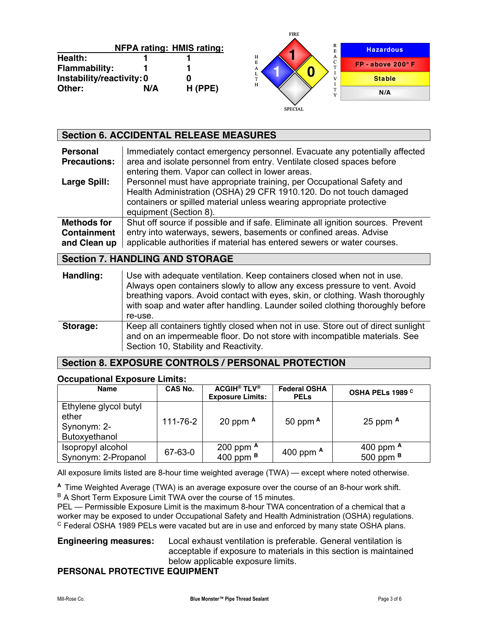|                           |     |                                  | TINE                 |                     |
|---------------------------|-----|----------------------------------|----------------------|---------------------|
|                           |     | <b>NFPA rating: HMIS rating:</b> | R<br>Е               | <b>Hazardous</b>    |
| <b>Health:</b>            |     |                                  | Н<br>A<br>$\sqrt{2}$ |                     |
| Flammability:             |     |                                  | E<br>m<br>A          | $FP - above 200° F$ |
| Instability/reactivity: 0 |     |                                  | æ.                   | <b>Stable</b>       |
| Other:                    | N/A | H (PPE)                          | H                    | N/A                 |
|                           |     |                                  | <b>SPECIAL</b>       |                     |

FIRE

|                                        | <b>Section 6. ACCIDENTAL RELEASE MEASURES</b>                                                                                                                                                                                                                                                                                    |
|----------------------------------------|----------------------------------------------------------------------------------------------------------------------------------------------------------------------------------------------------------------------------------------------------------------------------------------------------------------------------------|
| <b>Personal</b><br><b>Precautions:</b> | Immediately contact emergency personnel. Evacuate any potentially affected<br>area and isolate personnel from entry. Ventilate closed spaces before<br>entering them. Vapor can collect in lower areas.                                                                                                                          |
| Large Spill:                           | Personnel must have appropriate training, per Occupational Safety and<br>Health Administration (OSHA) 29 CFR 1910.120. Do not touch damaged<br>containers or spilled material unless wearing appropriate protective<br>equipment (Section 8).                                                                                    |
| Methods for                            | Shut off source if possible and if safe. Eliminate all ignition sources. Prevent                                                                                                                                                                                                                                                 |
| <b>Containment</b>                     | entry into waterways, sewers, basements or confined areas. Advise                                                                                                                                                                                                                                                                |
| and Clean up                           | applicable authorities if material has entered sewers or water courses.                                                                                                                                                                                                                                                          |
|                                        | <b>Section 7. HANDLING AND STORAGE</b>                                                                                                                                                                                                                                                                                           |
| Handling:                              | Use with adequate ventilation. Keep containers closed when not in use.<br>Always open containers slowly to allow any excess pressure to vent. Avoid<br>breathing vapors. Avoid contact with eyes, skin, or clothing. Wash thoroughly<br>with soap and water after handling. Launder soiled clothing thoroughly before<br>re-use. |
| Storage:                               | Keep all containers tightly closed when not in use. Store out of direct sunlight<br>and on an impermeable floor. Do not store with incompatible materials. See<br>Section 10, Stability and Reactivity.                                                                                                                          |

### **Section 8. EXPOSURE CONTROLS / PERSONAL PROTECTION**

### **Occupational Exposure Limits:**

| <b>Name</b>                                                    | CAS No.  | <b>ACGIH<sup>®</sup> TLV<sup>®</sup></b><br><b>Exposure Limits:</b> | <b>Federal OSHA</b><br><b>PELS</b> | OSHA PELs 1989 C           |
|----------------------------------------------------------------|----------|---------------------------------------------------------------------|------------------------------------|----------------------------|
| Ethylene glycol butyl<br>ether<br>Synonym: 2-<br>Butoxyethanol | 111-76-2 | 20 ppm $A$                                                          | 50 ppm $A$                         | 25 ppm $A$                 |
| Isopropyl alcohol<br>Synonym: 2-Propanol                       | 67-63-0  | 200 ppm <sup>A</sup><br>400 ppm $B$                                 | 400 ppm $A$                        | 400 ppm $A$<br>500 ppm $B$ |

All exposure limits listed are 8-hour time weighted average (TWA) — except where noted otherwise.

**<sup>A</sup>**Time Weighted Average (TWA) is an average exposure over the course of an 8-hour work shift. B A Short Term Exposure Limit TWA over the course of 15 minutes.

PEL — Permissible Exposure Limit is the maximum 8-hour TWA concentration of a chemical that a worker may be exposed to under Occupational Safety and Health Administration (OSHA) regulations. <sup>C</sup> Federal OSHA 1989 PELs were vacated but are in use and enforced by many state OSHA plans.

## **Engineering measures:** Local exhaust ventilation is preferable. General ventilation is acceptable if exposure to materials in this section is maintained below applicable exposure limits.

## **PERSONAL PROTECTIVE EQUIPMENT**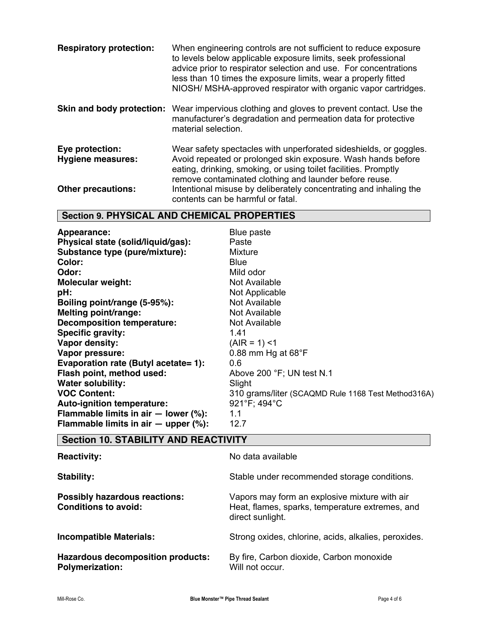| <b>Respiratory protection:</b>              | When engineering controls are not sufficient to reduce exposure<br>to levels below applicable exposure limits, seek professional<br>advice prior to respirator selection and use. For concentrations<br>less than 10 times the exposure limits, wear a properly fitted<br>NIOSH/ MSHA-approved respirator with organic vapor cartridges. |
|---------------------------------------------|------------------------------------------------------------------------------------------------------------------------------------------------------------------------------------------------------------------------------------------------------------------------------------------------------------------------------------------|
| Skin and body protection:                   | Wear impervious clothing and gloves to prevent contact. Use the<br>manufacturer's degradation and permeation data for protective<br>material selection.                                                                                                                                                                                  |
| Eye protection:<br><b>Hygiene measures:</b> | Wear safety spectacles with unperforated sideshields, or goggles.<br>Avoid repeated or prolonged skin exposure. Wash hands before<br>eating, drinking, smoking, or using toilet facilities. Promptly<br>remove contaminated clothing and launder before reuse.                                                                           |
| <b>Other precautions:</b>                   | Intentional misuse by deliberately concentrating and inhaling the<br>contents can be harmful or fatal.                                                                                                                                                                                                                                   |

## **Section 9. PHYSICAL AND CHEMICAL PROPERTIES**

| Appearance:                                | Blue paste                                         |
|--------------------------------------------|----------------------------------------------------|
| Physical state (solid/liquid/gas):         | Paste                                              |
| Substance type (pure/mixture):             | <b>Mixture</b>                                     |
| Color:                                     | <b>Blue</b>                                        |
| Odor:                                      | Mild odor                                          |
| <b>Molecular weight:</b>                   | Not Available                                      |
| pH:                                        | Not Applicable                                     |
| Boiling point/range (5-95%):               | Not Available                                      |
| Melting point/range:                       | Not Available                                      |
| <b>Decomposition temperature:</b>          | Not Available                                      |
| <b>Specific gravity:</b>                   | 1.41                                               |
| Vapor density:                             | $(AIR = 1)$ <1                                     |
| Vapor pressure:                            | 0.88 mm Hg at $68^{\circ}$ F                       |
| Evaporation rate (Butyl acetate= 1):       | 0.6                                                |
| Flash point, method used:                  | Above 200 °F; UN test N.1                          |
| <b>Water solubility:</b>                   | Slight                                             |
| <b>VOC Content:</b>                        | 310 grams/liter (SCAQMD Rule 1168 Test Method316A) |
| Auto-ignition temperature:                 | 921°F; 494°C                                       |
| Flammable limits in air $-$ lower (%):     | 1.1                                                |
| Flammable limits in air $-$ upper $(\%)$ : | 12.7                                               |

# **Section 10. STABILITY AND REACTIVITY**

| <b>Reactivity:</b>                                                  | No data available                                                                                                    |
|---------------------------------------------------------------------|----------------------------------------------------------------------------------------------------------------------|
| Stability:                                                          | Stable under recommended storage conditions.                                                                         |
| <b>Possibly hazardous reactions:</b><br><b>Conditions to avoid:</b> | Vapors may form an explosive mixture with air<br>Heat, flames, sparks, temperature extremes, and<br>direct sunlight. |
| <b>Incompatible Materials:</b>                                      | Strong oxides, chlorine, acids, alkalies, peroxides.                                                                 |
| <b>Hazardous decomposition products:</b><br><b>Polymerization:</b>  | By fire, Carbon dioxide, Carbon monoxide<br>Will not occur.                                                          |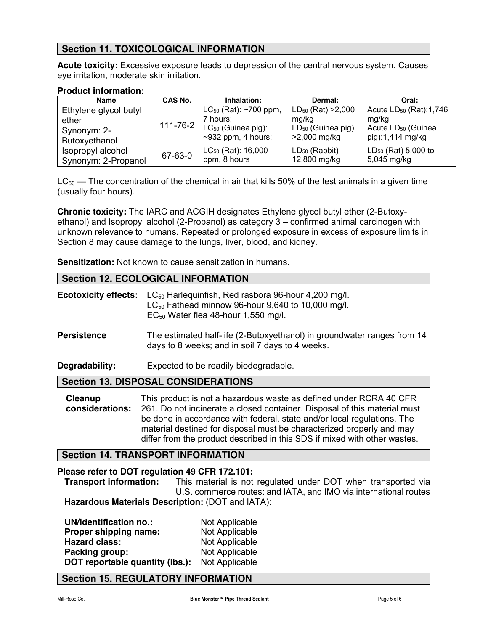## **Section 11. TOXICOLOGICAL INFORMATION**

**Acute toxicity:** Excessive exposure leads to depression of the central nervous system. Causes eye irritation, moderate skin irritation.

### **Product information:**

| <b>Name</b>           | CAS No.        | Inhalation:                | Dermal:                | Oral:                          |
|-----------------------|----------------|----------------------------|------------------------|--------------------------------|
| Ethylene glycol butyl |                | $LC_{50}$ (Rat): ~700 ppm, | $LD_{50}$ (Rat) >2,000 | Acute $LD_{50}$ (Rat):1,746    |
| ether                 | $111 - 76 - 2$ | 7 hours:                   | mg/kg                  | mg/kg                          |
| Synonym: 2-           |                | $LC_{50}$ (Guinea pig):    | $LD_{50}$ (Guinea pig) | Acute LD <sub>50</sub> (Guinea |
| Butoxyethanol         |                | $\sim$ 932 ppm, 4 hours;   | >2,000 mg/kg           | pig):1,414 mg/kg               |
| Isopropyl alcohol     | 67-63-0        | $LC_{50}$ (Rat): 16,000    | $LD_{50}$ (Rabbit)     | $LD_{50}$ (Rat) 5,000 to       |
| Synonym: 2-Propanol   |                | ppm, 8 hours               | 12,800 mg/kg           | 5,045 mg/kg                    |

 $LC_{50}$  — The concentration of the chemical in air that kills 50% of the test animals in a given time (usually four hours).

**Chronic toxicity:** The IARC and ACGIH designates Ethylene glycol butyl ether (2-Butoxyethanol) and Isopropyl alcohol (2-Propanol) as category 3 – confirmed animal carcinogen with unknown relevance to humans. Repeated or prolonged exposure in excess of exposure limits in Section 8 may cause damage to the lungs, liver, blood, and kidney.

**Sensitization:** Not known to cause sensitization in humans.

## **Section 12. ECOLOGICAL INFORMATION**

| <b>Ecotoxicity effects:</b> | LC <sub>50</sub> Harlequinfish, Red rasbora 96-hour 4,200 mg/l.<br>$LC_{50}$ Fathead minnow 96-hour 9,640 to 10,000 mg/l.<br>$EC_{50}$ Water flea 48-hour 1,550 mg/l.                                                                                                                                                                                                            |
|-----------------------------|----------------------------------------------------------------------------------------------------------------------------------------------------------------------------------------------------------------------------------------------------------------------------------------------------------------------------------------------------------------------------------|
| <b>Persistence</b>          | The estimated half-life (2-Butoxyethanol) in groundwater ranges from 14<br>days to 8 weeks; and in soil 7 days to 4 weeks.                                                                                                                                                                                                                                                       |
| Degradability:              | Expected to be readily biodegradable.                                                                                                                                                                                                                                                                                                                                            |
|                             | <b>Section 13. DISPOSAL CONSIDERATIONS</b>                                                                                                                                                                                                                                                                                                                                       |
| Cleanup<br>considerations:  | This product is not a hazardous waste as defined under RCRA 40 CFR<br>261. Do not incinerate a closed container. Disposal of this material must<br>be done in accordance with federal, state and/or local regulations. The<br>material destined for disposal must be characterized properly and may<br>differ from the product described in this SDS if mixed with other wastes. |

## **Section 14. TRANSPORT INFORMATION**

**Please refer to DOT regulation 49 CFR 172.101: Transport information:** This material is not regulated under DOT when transported via U.S. commerce routes: and IATA, and IMO via international routes **Hazardous Materials Description:** (DOT and IATA):

**UN/identification no.:** Not Applicable<br> **Proper shipping name:** Not Applicable **Proper shipping name: Hazard class:** Not Applicable **Packing group:** Not Applicable **DOT reportable quantity (lbs.):** Not Applicable

## **Section 15. REGULATORY INFORMATION**